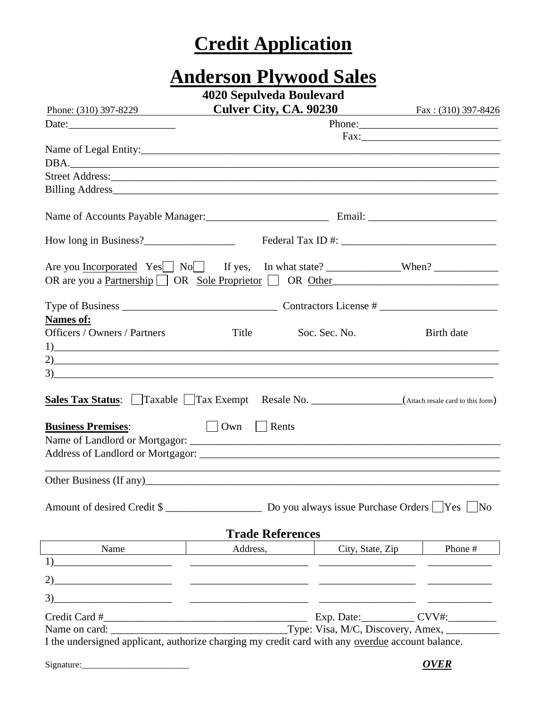## **Credit Application**

# **Anderson Plywood Sales**

|  | 4020 Sepulveda Boulevard |  |
|--|--------------------------|--|
|--|--------------------------|--|

| Phone: (310) 397-8229                                                                                                                                                                                                         | <b>Culver City, CA. 90230</b> |                           | $\frac{1}{2}$ Fax: (310) 397-8426 |
|-------------------------------------------------------------------------------------------------------------------------------------------------------------------------------------------------------------------------------|-------------------------------|---------------------------|-----------------------------------|
|                                                                                                                                                                                                                               |                               |                           |                                   |
|                                                                                                                                                                                                                               |                               |                           |                                   |
|                                                                                                                                                                                                                               |                               |                           |                                   |
| DBA.                                                                                                                                                                                                                          |                               |                           |                                   |
|                                                                                                                                                                                                                               |                               |                           |                                   |
|                                                                                                                                                                                                                               |                               |                           |                                   |
|                                                                                                                                                                                                                               |                               |                           |                                   |
|                                                                                                                                                                                                                               |                               |                           |                                   |
|                                                                                                                                                                                                                               |                               |                           |                                   |
| OR are you a <u>Partnership</u> $\Box$ OR Sole Proprietor $\Box$ OR Other                                                                                                                                                     |                               |                           |                                   |
|                                                                                                                                                                                                                               |                               |                           |                                   |
|                                                                                                                                                                                                                               |                               |                           |                                   |
| Names of:                                                                                                                                                                                                                     |                               |                           |                                   |
| <b>Officers / Owners / Partners</b>                                                                                                                                                                                           | Title                         | Soc. Sec. No.             | Birth date                        |
|                                                                                                                                                                                                                               |                               |                           |                                   |
|                                                                                                                                                                                                                               |                               |                           |                                   |
| 3)                                                                                                                                                                                                                            |                               |                           |                                   |
| <b>Sales Tax Status:</b> Taxable Tax Exempt Resale No. _________________(Attach resale card to this form)<br><b>Business Premises:</b>                                                                                        | Own     Rents                 |                           |                                   |
|                                                                                                                                                                                                                               |                               |                           |                                   |
|                                                                                                                                                                                                                               |                               |                           |                                   |
|                                                                                                                                                                                                                               |                               |                           |                                   |
|                                                                                                                                                                                                                               |                               |                           |                                   |
|                                                                                                                                                                                                                               |                               |                           |                                   |
|                                                                                                                                                                                                                               | <b>Trade References</b>       |                           |                                   |
| Name and the same state of the state of the state of the state of the state of the state of the state of the state of the state of the state of the state of the state of the state of the state of the state of the state of |                               | Address, City, State, Zip | Phone #                           |
|                                                                                                                                                                                                                               |                               |                           |                                   |
|                                                                                                                                                                                                                               |                               |                           |                                   |
|                                                                                                                                                                                                                               |                               |                           |                                   |
|                                                                                                                                                                                                                               |                               |                           |                                   |
|                                                                                                                                                                                                                               |                               |                           |                                   |
| I the undersigned applicant, authorize charging my credit card with any overdue account balance.                                                                                                                              |                               |                           |                                   |
|                                                                                                                                                                                                                               |                               |                           |                                   |
|                                                                                                                                                                                                                               |                               |                           | <b>OVER</b>                       |